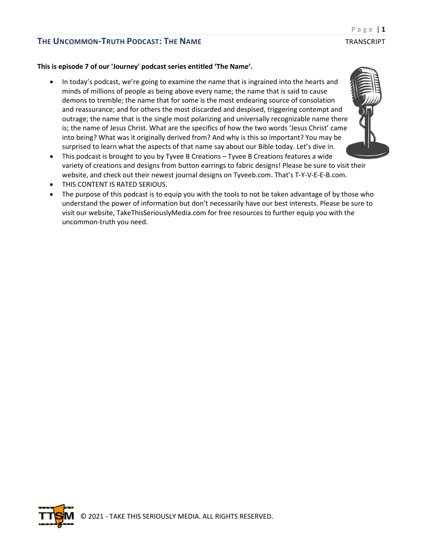#### **This is episode 7 of our 'Journey' podcast series entitled 'The Name'.**

- In today's podcast, we're going to examine the name that is ingrained into the hearts and minds of millions of people as being above every name; the name that is said to cause demons to tremble; the name that for some is the most endearing source of consolation and reassurance; and for others the most discarded and despised, triggering contempt and outrage; the name that is the single most polarizing and universally recognizable name there is; the name of Jesus Christ. What are the specifics of how the two words 'Jesus Christ' came into being? What was it originally derived from? And why is this so important? You may be surprised to learn what the aspects of that name say about our Bible today. Let's dive in.
- This podcast is brought to you by Tyvee B Creations Tyvee B Creations features a wide variety of creations and designs from button earrings to fabric designs! Please be sure to visit their website, and check out their newest journal designs on Tyveeb.com. That's T-Y-V-E-E-B.com.
- THIS CONTENT IS RATED SERIOUS.
- The purpose of this podcast is to equip you with the tools to not be taken advantage of by those who understand the power of information but don't necessarily have our best interests. Please be sure to visit our website, TakeThisSeriouslyMedia.com for free resources to further equip you with the uncommon-truth you need.



Page | **1**

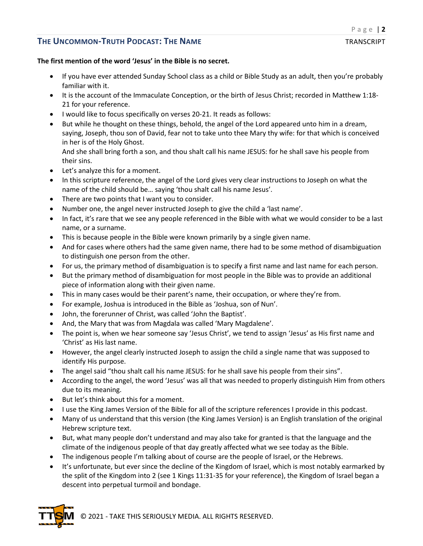### **The first mention of the word 'Jesus' in the Bible is no secret.**

- If you have ever attended Sunday School class as a child or Bible Study as an adult, then you're probably familiar with it.
- It is the account of the Immaculate Conception, or the birth of Jesus Christ; recorded in Matthew 1:18- 21 for your reference.
- I would like to focus specifically on verses 20-21. It reads as follows:
- But while he thought on these things, behold, the angel of the Lord appeared unto him in a dream, saying, Joseph, thou son of David, fear not to take unto thee Mary thy wife: for that which is conceived in her is of the Holy Ghost.

And she shall bring forth a son, and thou shalt call his name JESUS: for he shall save his people from their sins.

- Let's analyze this for a moment.
- In this scripture reference, the angel of the Lord gives very clear instructions to Joseph on what the name of the child should be… saying 'thou shalt call his name Jesus'.
- There are two points that I want you to consider.
- Number one, the angel never instructed Joseph to give the child a 'last name'.
- In fact, it's rare that we see any people referenced in the Bible with what we would consider to be a last name, or a surname.
- This is because people in the Bible were known primarily by a single given name.
- And for cases where others had the same given name, there had to be some method of disambiguation to distinguish one person from the other.
- For us, the primary method of disambiguation is to specify a first name and last name for each person.
- But the primary method of disambiguation for most people in the Bible was to provide an additional piece of information along with their given name.
- This in many cases would be their parent's name, their occupation, or where they're from.
- For example, Joshua is introduced in the Bible as 'Joshua, son of Nun'.
- John, the forerunner of Christ, was called 'John the Baptist'.
- And, the Mary that was from Magdala was called 'Mary Magdalene'.
- The point is, when we hear someone say 'Jesus Christ', we tend to assign 'Jesus' as His first name and 'Christ' as His last name.
- However, the angel clearly instructed Joseph to assign the child a single name that was supposed to identify His purpose.
- The angel said "thou shalt call his name JESUS: for he shall save his people from their sins".
- According to the angel, the word 'Jesus' was all that was needed to properly distinguish Him from others due to its meaning.
- But let's think about this for a moment.
- I use the King James Version of the Bible for all of the scripture references I provide in this podcast.
- Many of us understand that this version (the King James Version) is an English translation of the original Hebrew scripture text.
- But, what many people don't understand and may also take for granted is that the language and the climate of the indigenous people of that day greatly affected what we see today as the Bible.
- The indigenous people I'm talking about of course are the people of Israel, or the Hebrews.
- It's unfortunate, but ever since the decline of the Kingdom of Israel, which is most notably earmarked by the split of the Kingdom into 2 (see 1 Kings 11:31-35 for your reference), the Kingdom of Israel began a descent into perpetual turmoil and bondage.

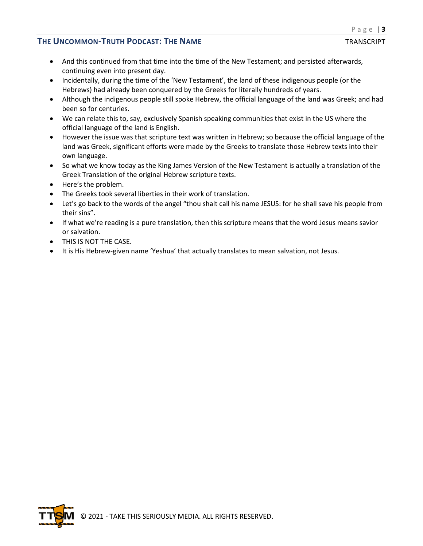- And this continued from that time into the time of the New Testament; and persisted afterwards, continuing even into present day.
- Incidentally, during the time of the 'New Testament', the land of these indigenous people (or the Hebrews) had already been conquered by the Greeks for literally hundreds of years.
- Although the indigenous people still spoke Hebrew, the official language of the land was Greek; and had been so for centuries.
- We can relate this to, say, exclusively Spanish speaking communities that exist in the US where the official language of the land is English.
- However the issue was that scripture text was written in Hebrew; so because the official language of the land was Greek, significant efforts were made by the Greeks to translate those Hebrew texts into their own language.
- So what we know today as the King James Version of the New Testament is actually a translation of the Greek Translation of the original Hebrew scripture texts.
- Here's the problem.
- The Greeks took several liberties in their work of translation.
- Let's go back to the words of the angel "thou shalt call his name JESUS: for he shall save his people from their sins".
- If what we're reading is a pure translation, then this scripture means that the word Jesus means savior or salvation.
- THIS IS NOT THE CASE.
- It is His Hebrew-given name 'Yeshua' that actually translates to mean salvation, not Jesus.

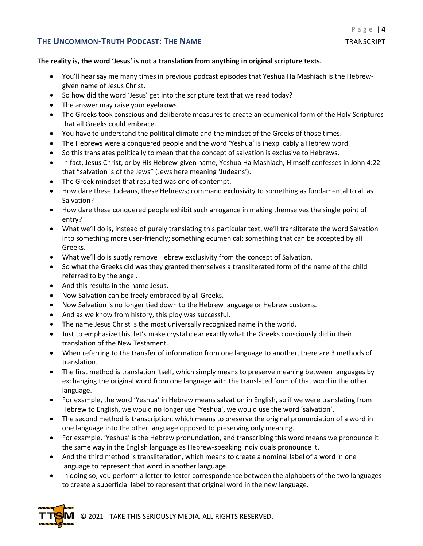#### **The reality is, the word 'Jesus' is not a translation from anything in original scripture texts.**

- You'll hear say me many times in previous podcast episodes that Yeshua Ha Mashiach is the Hebrewgiven name of Jesus Christ.
- So how did the word 'Jesus' get into the scripture text that we read today?
- The answer may raise your eyebrows.
- The Greeks took conscious and deliberate measures to create an ecumenical form of the Holy Scriptures that all Greeks could embrace.
- You have to understand the political climate and the mindset of the Greeks of those times.
- The Hebrews were a conquered people and the word 'Yeshua' is inexplicably a Hebrew word.
- So this translates politically to mean that the concept of salvation is exclusive to Hebrews.
- In fact, Jesus Christ, or by His Hebrew-given name, Yeshua Ha Mashiach, Himself confesses in John 4:22 that "salvation is of the Jews" (Jews here meaning 'Judeans').
- The Greek mindset that resulted was one of contempt.
- How dare these Judeans, these Hebrews; command exclusivity to something as fundamental to all as Salvation?
- How dare these conquered people exhibit such arrogance in making themselves the single point of entry?
- What we'll do is, instead of purely translating this particular text, we'll transliterate the word Salvation into something more user-friendly; something ecumenical; something that can be accepted by all Greeks.
- What we'll do is subtly remove Hebrew exclusivity from the concept of Salvation.
- So what the Greeks did was they granted themselves a transliterated form of the name of the child referred to by the angel.
- And this results in the name Jesus.
- Now Salvation can be freely embraced by all Greeks.
- Now Salvation is no longer tied down to the Hebrew language or Hebrew customs.
- And as we know from history, this ploy was successful.
- The name Jesus Christ is the most universally recognized name in the world.
- Just to emphasize this, let's make crystal clear exactly what the Greeks consciously did in their translation of the New Testament.
- When referring to the transfer of information from one language to another, there are 3 methods of translation.
- The first method is translation itself, which simply means to preserve meaning between languages by exchanging the original word from one language with the translated form of that word in the other language.
- For example, the word 'Yeshua' in Hebrew means salvation in English, so if we were translating from Hebrew to English, we would no longer use 'Yeshua', we would use the word 'salvation'.
- The second method is transcription, which means to preserve the original pronunciation of a word in one language into the other language opposed to preserving only meaning.
- For example, 'Yeshua' is the Hebrew pronunciation, and transcribing this word means we pronounce it the same way in the English language as Hebrew-speaking individuals pronounce it.
- And the third method is transliteration, which means to create a nominal label of a word in one language to represent that word in another language.
- In doing so, you perform a letter-to-letter correspondence between the alphabets of the two languages to create a superficial label to represent that original word in the new language.

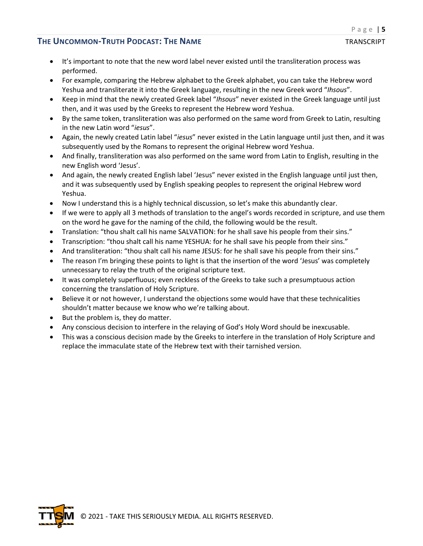- It's important to note that the new word label never existed until the transliteration process was performed.
- For example, comparing the Hebrew alphabet to the Greek alphabet, you can take the Hebrew word Yeshua and transliterate it into the Greek language, resulting in the new Greek word "*Ihsous*".
- Keep in mind that the newly created Greek label "*Ihsous*" never existed in the Greek language until just then, and it was used by the Greeks to represent the Hebrew word Yeshua.
- By the same token, transliteration was also performed on the same word from Greek to Latin, resulting in the new Latin word "*iesus*".
- Again, the newly created Latin label "*iesus*" never existed in the Latin language until just then, and it was subsequently used by the Romans to represent the original Hebrew word Yeshua.
- And finally, transliteration was also performed on the same word from Latin to English, resulting in the new English word 'Jesus'.
- And again, the newly created English label 'Jesus" never existed in the English language until just then, and it was subsequently used by English speaking peoples to represent the original Hebrew word Yeshua.
- Now I understand this is a highly technical discussion, so let's make this abundantly clear.
- If we were to apply all 3 methods of translation to the angel's words recorded in scripture, and use them on the word he gave for the naming of the child, the following would be the result.
- Translation: "thou shalt call his name SALVATION: for he shall save his people from their sins."
- Transcription: "thou shalt call his name YESHUA: for he shall save his people from their sins."
- And transliteration: "thou shalt call his name JESUS: for he shall save his people from their sins."
- The reason I'm bringing these points to light is that the insertion of the word 'Jesus' was completely unnecessary to relay the truth of the original scripture text.
- It was completely superfluous; even reckless of the Greeks to take such a presumptuous action concerning the translation of Holy Scripture.
- Believe it or not however, I understand the objections some would have that these technicalities shouldn't matter because we know who we're talking about.
- But the problem is, they do matter.
- Any conscious decision to interfere in the relaying of God's Holy Word should be inexcusable.
- This was a conscious decision made by the Greeks to interfere in the translation of Holy Scripture and replace the immaculate state of the Hebrew text with their tarnished version.

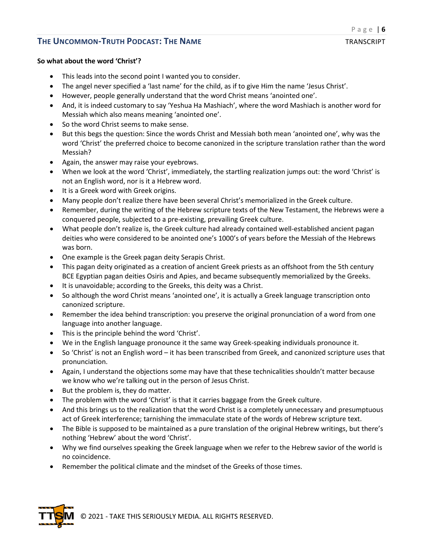#### **So what about the word 'Christ'?**

- This leads into the second point I wanted you to consider.
- The angel never specified a 'last name' for the child, as if to give Him the name 'Jesus Christ'.
- However, people generally understand that the word Christ means 'anointed one'.
- And, it is indeed customary to say 'Yeshua Ha Mashiach', where the word Mashiach is another word for Messiah which also means meaning 'anointed one'.
- So the word Christ seems to make sense.
- But this begs the question: Since the words Christ and Messiah both mean 'anointed one', why was the word 'Christ' the preferred choice to become canonized in the scripture translation rather than the word Messiah?
- Again, the answer may raise your eyebrows.
- When we look at the word 'Christ', immediately, the startling realization jumps out: the word 'Christ' is not an English word, nor is it a Hebrew word.
- It is a Greek word with Greek origins.
- Many people don't realize there have been several Christ's memorialized in the Greek culture.
- Remember, during the writing of the Hebrew scripture texts of the New Testament, the Hebrews were a conquered people, subjected to a pre-existing, prevailing Greek culture.
- What people don't realize is, the Greek culture had already contained well-established ancient pagan deities who were considered to be anointed one's 1000's of years before the Messiah of the Hebrews was born.
- One example is the Greek pagan deity Serapis Christ.
- This pagan deity originated as a creation of ancient Greek priests as an offshoot from the 5th century BCE Egyptian pagan deities Osiris and Apies, and became subsequently memorialized by the Greeks.
- It is unavoidable; according to the Greeks, this deity was a Christ.
- So although the word Christ means 'anointed one', it is actually a Greek language transcription onto canonized scripture.
- Remember the idea behind transcription: you preserve the original pronunciation of a word from one language into another language.
- This is the principle behind the word 'Christ'.
- We in the English language pronounce it the same way Greek-speaking individuals pronounce it.
- So 'Christ' is not an English word it has been transcribed from Greek, and canonized scripture uses that pronunciation.
- Again, I understand the objections some may have that these technicalities shouldn't matter because we know who we're talking out in the person of Jesus Christ.
- But the problem is, they do matter.
- The problem with the word 'Christ' is that it carries baggage from the Greek culture.
- And this brings us to the realization that the word Christ is a completely unnecessary and presumptuous act of Greek interference; tarnishing the immaculate state of the words of Hebrew scripture text.
- The Bible is supposed to be maintained as a pure translation of the original Hebrew writings, but there's nothing 'Hebrew' about the word 'Christ'.
- Why we find ourselves speaking the Greek language when we refer to the Hebrew savior of the world is no coincidence.
- Remember the political climate and the mindset of the Greeks of those times.